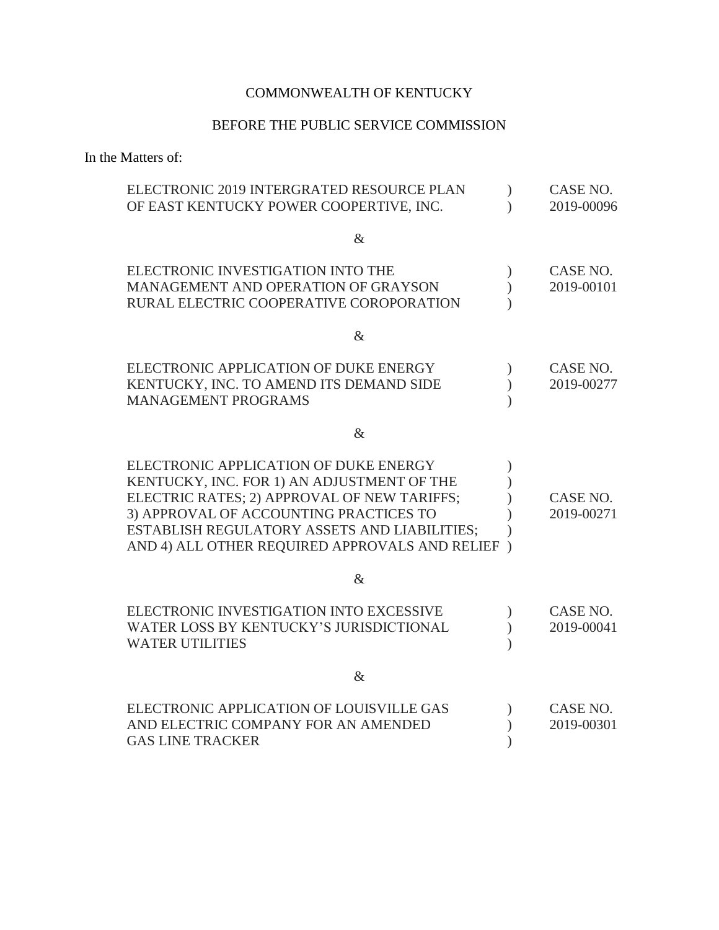## COMMONWEALTH OF KENTUCKY

## BEFORE THE PUBLIC SERVICE COMMISSION

In the Matters of:

| ELECTRONIC 2019 INTERGRATED RESOURCE PLAN      |               | CASE NO.   |
|------------------------------------------------|---------------|------------|
| OF EAST KENTUCKY POWER COOPERTIVE, INC.        |               | 2019-00096 |
|                                                |               |            |
| $\&$                                           |               |            |
| ELECTRONIC INVESTIGATION INTO THE              |               | CASE NO.   |
| MANAGEMENT AND OPERATION OF GRAYSON            | $\lambda$     | 2019-00101 |
| RURAL ELECTRIC COOPERATIVE COROPORATION        |               |            |
|                                                |               |            |
| $\&$                                           |               |            |
| ELECTRONIC APPLICATION OF DUKE ENERGY          |               | CASE NO.   |
| KENTUCKY, INC. TO AMEND ITS DEMAND SIDE        |               | 2019-00277 |
| <b>MANAGEMENT PROGRAMS</b>                     |               |            |
|                                                |               |            |
| $\&$                                           |               |            |
| ELECTRONIC APPLICATION OF DUKE ENERGY          |               |            |
| KENTUCKY, INC. FOR 1) AN ADJUSTMENT OF THE     |               |            |
| ELECTRIC RATES; 2) APPROVAL OF NEW TARIFFS;    |               | CASE NO.   |
| 3) APPROVAL OF ACCOUNTING PRACTICES TO         |               | 2019-00271 |
| ESTABLISH REGULATORY ASSETS AND LIABILITIES;   |               |            |
| AND 4) ALL OTHER REQUIRED APPROVALS AND RELIEF | $\mathcal{E}$ |            |
|                                                |               |            |
| $\&$                                           |               |            |
| ELECTRONIC INVESTIGATION INTO EXCESSIVE        |               | CASE NO.   |
| WATER LOSS BY KENTUCKY'S JURISDICTIONAL        |               | 2019-00041 |
| <b>WATER UTILITIES</b>                         |               |            |
|                                                |               |            |
| $\&$                                           |               |            |
| ELECTRONIC APPLICATION OF LOUISVILLE GAS       |               | CASE NO.   |
| AND ELECTRIC COMPANY FOR AN AMENDED            |               | 2019-00301 |
| <b>GAS LINE TRACKER</b>                        |               |            |
|                                                |               |            |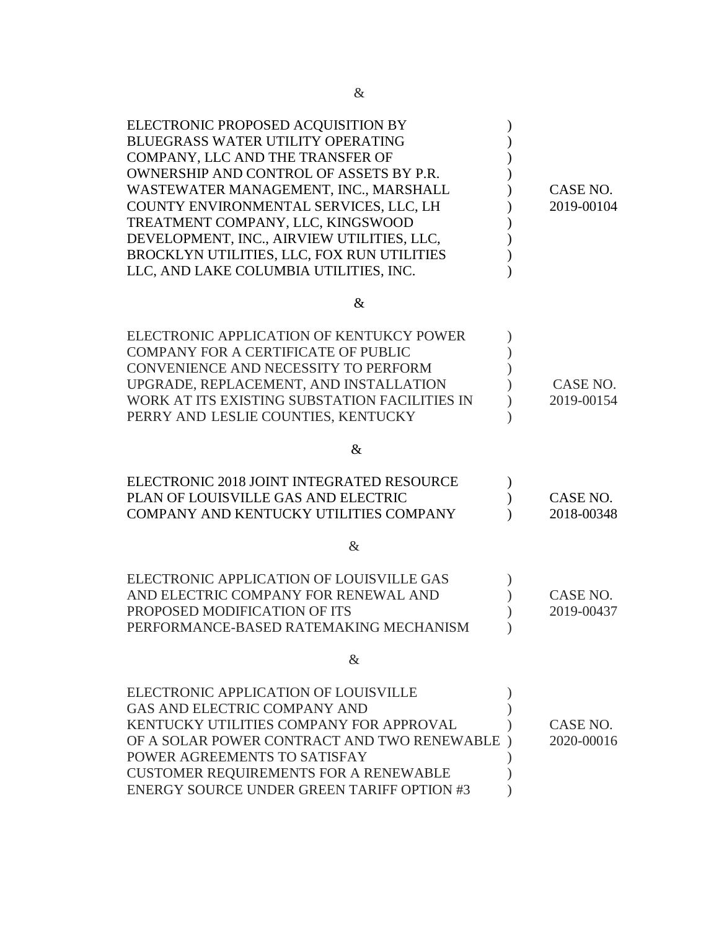| ELECTRONIC PROPOSED ACQUISITION BY<br><b>BLUEGRASS WATER UTILITY OPERATING</b><br>COMPANY, LLC AND THE TRANSFER OF<br>OWNERSHIP AND CONTROL OF ASSETS BY P.R.<br>WASTEWATER MANAGEMENT, INC., MARSHALL<br>COUNTY ENVIRONMENTAL SERVICES, LLC, LH<br>TREATMENT COMPANY, LLC, KINGSWOOD<br>DEVELOPMENT, INC., AIRVIEW UTILITIES, LLC,<br>BROCKLYN UTILITIES, LLC, FOX RUN UTILITIES<br>LLC, AND LAKE COLUMBIA UTILITIES, INC. | CASE NO.<br>2019-00104 |
|-----------------------------------------------------------------------------------------------------------------------------------------------------------------------------------------------------------------------------------------------------------------------------------------------------------------------------------------------------------------------------------------------------------------------------|------------------------|
| $\&$                                                                                                                                                                                                                                                                                                                                                                                                                        |                        |
| ELECTRONIC APPLICATION OF KENTUKCY POWER<br><b>COMPANY FOR A CERTIFICATE OF PUBLIC</b><br>CONVENIENCE AND NECESSITY TO PERFORM<br>UPGRADE, REPLACEMENT, AND INSTALLATION<br>WORK AT ITS EXISTING SUBSTATION FACILITIES IN<br>PERRY AND LESLIE COUNTIES, KENTUCKY                                                                                                                                                            | CASE NO.<br>2019-00154 |
| $\&$                                                                                                                                                                                                                                                                                                                                                                                                                        |                        |
| ELECTRONIC 2018 JOINT INTEGRATED RESOURCE<br>PLAN OF LOUISVILLE GAS AND ELECTRIC<br>COMPANY AND KENTUCKY UTILITIES COMPANY                                                                                                                                                                                                                                                                                                  | CASE NO.<br>2018-00348 |
| $\&$                                                                                                                                                                                                                                                                                                                                                                                                                        |                        |
| ELECTRONIC APPLICATION OF LOUISVILLE GAS<br>AND ELECTRIC COMPANY FOR RENEWAL AND<br>PROPOSED MODIFICATION OF ITS<br>PERFORMANCE-BASED RATEMAKING MECHANISM                                                                                                                                                                                                                                                                  | CASE NO.<br>2019-00437 |
| $\&$                                                                                                                                                                                                                                                                                                                                                                                                                        |                        |
| ELECTRONIC APPLICATION OF LOUISVILLE<br>GAS AND ELECTRIC COMPANY AND<br>KENTUCKY UTILITIES COMPANY FOR APPROVAL<br>OF A SOLAR POWER CONTRACT AND TWO RENEWABLE<br>POWER AGREEMENTS TO SATISFAY<br><b>CUSTOMER REQUIREMENTS FOR A RENEWABLE</b><br><b>ENERGY SOURCE UNDER GREEN TARIFF OPTION #3</b>                                                                                                                         | CASE NO.<br>2020-00016 |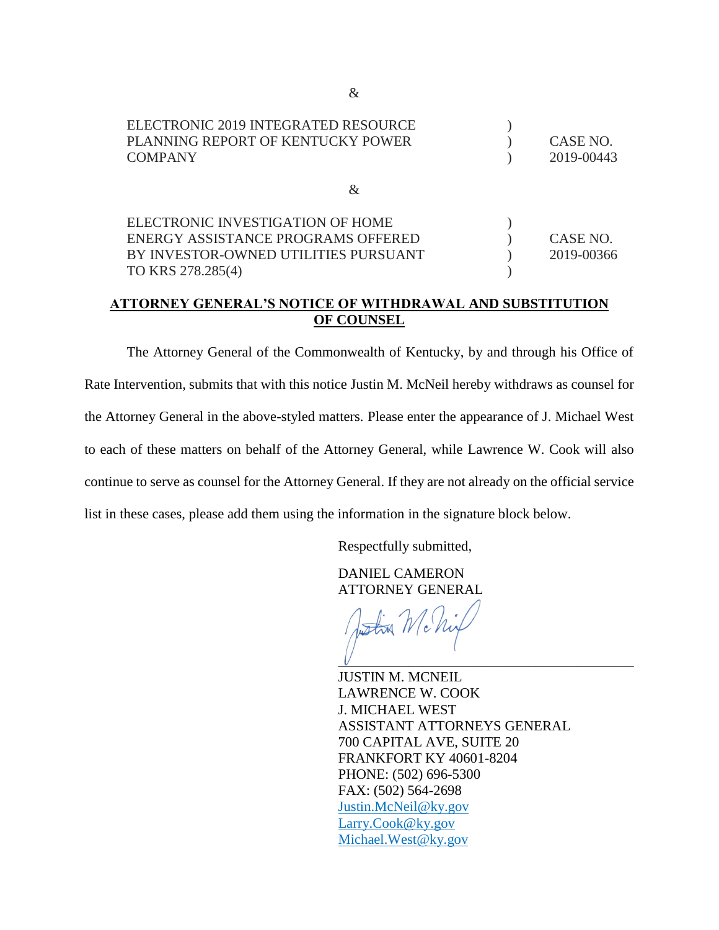| ELECTRONIC 2019 INTEGRATED RESOURCE<br>PLANNING REPORT OF KENTUCKY POWER<br><b>COMPANY</b> | CASE NO.<br>2019-00443 |
|--------------------------------------------------------------------------------------------|------------------------|
| Xz.                                                                                        |                        |
| ELECTRONIC INVESTIGATION OF HOME                                                           |                        |
| ENERGY ASSISTANCE PROGRAMS OFFERED                                                         | CASE NO.               |
| BY INVESTOR-OWNED UTILITIES PURSUANT                                                       | 2019-00366             |
| TO KRS 278.285(4)                                                                          |                        |

## **ATTORNEY GENERAL'S NOTICE OF WITHDRAWAL AND SUBSTITUTION OF COUNSEL**

The Attorney General of the Commonwealth of Kentucky, by and through his Office of Rate Intervention, submits that with this notice Justin M. McNeil hereby withdraws as counsel for the Attorney General in the above-styled matters. Please enter the appearance of J. Michael West to each of these matters on behalf of the Attorney General, while Lawrence W. Cook will also continue to serve as counsel for the Attorney General. If they are not already on the official service list in these cases, please add them using the information in the signature block below.

Respectfully submitted,

DANIEL CAMERON ATTORNEY GENERAL

 $\frac{1}{20}$  Mc  $\mathcal V$  , we are the set of the set of the set of the set of the set of the set of the set of the set of the set of the set of the set of the set of the set of the set of the set of the set of the set of the set of the set

JUSTIN M. MCNEIL LAWRENCE W. COOK J. MICHAEL WEST ASSISTANT ATTORNEYS GENERAL 700 CAPITAL AVE, SUITE 20 FRANKFORT KY 40601-8204 PHONE: (502) 696-5300 FAX: (502) 564-2698 Justin.McNeil@ky.gov Larry.Cook@ky.gov Michael.West@ky.gov